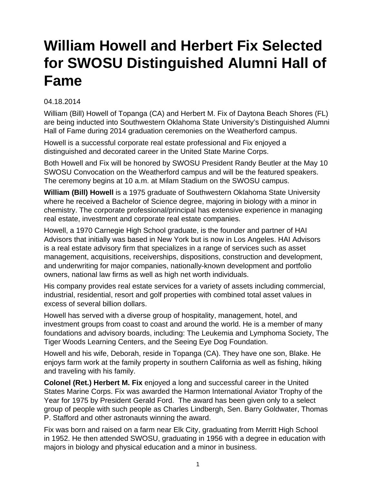## **William Howell and Herbert Fix Selected for SWOSU Distinguished Alumni Hall of Fame**

## 04.18.2014

William (Bill) Howell of Topanga (CA) and Herbert M. Fix of Daytona Beach Shores (FL) are being inducted into Southwestern Oklahoma State University's Distinguished Alumni Hall of Fame during 2014 graduation ceremonies on the Weatherford campus.

Howell is a successful corporate real estate professional and Fix enjoyed a distinguished and decorated career in the United State Marine Corps.

Both Howell and Fix will be honored by SWOSU President Randy Beutler at the May 10 SWOSU Convocation on the Weatherford campus and will be the featured speakers. The ceremony begins at 10 a.m. at Milam Stadium on the SWOSU campus.

**William (Bill) Howell** is a 1975 graduate of Southwestern Oklahoma State University where he received a Bachelor of Science degree, majoring in biology with a minor in chemistry. The corporate professional/principal has extensive experience in managing real estate, investment and corporate real estate companies.

Howell, a 1970 Carnegie High School graduate, is the founder and partner of HAI Advisors that initially was based in New York but is now in Los Angeles. HAI Advisors is a real estate advisory firm that specializes in a range of services such as asset management, acquisitions, receiverships, dispositions, construction and development, and underwriting for major companies, nationally-known development and portfolio owners, national law firms as well as high net worth individuals.

His company provides real estate services for a variety of assets including commercial, industrial, residential, resort and golf properties with combined total asset values in excess of several billion dollars.

Howell has served with a diverse group of hospitality, management, hotel, and investment groups from coast to coast and around the world. He is a member of many foundations and advisory boards, including: The Leukemia and Lymphoma Society, The Tiger Woods Learning Centers, and the Seeing Eye Dog Foundation.

Howell and his wife, Deborah, reside in Topanga (CA). They have one son, Blake. He enjoys farm work at the family property in southern California as well as fishing, hiking and traveling with his family.

**Colonel (Ret.) Herbert M. Fix** enjoyed a long and successful career in the United States Marine Corps. Fix was awarded the Harmon International Aviator Trophy of the Year for 1975 by President Gerald Ford. The award has been given only to a select group of people with such people as Charles Lindbergh, Sen. Barry Goldwater, Thomas P. Stafford and other astronauts winning the award.

Fix was born and raised on a farm near Elk City, graduating from Merritt High School in 1952. He then attended SWOSU, graduating in 1956 with a degree in education with majors in biology and physical education and a minor in business.